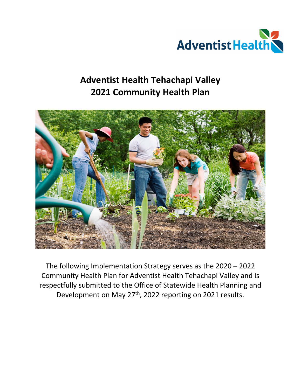

# **Adventist Health Tehachapi Valley 2021 Community Health Plan**



The following Implementation Strategy serves as the 2020 – 2022 Community Health Plan for Adventist Health Tehachapi Valley and is respectfully submitted to the Office of Statewide Health Planning and Development on May 27th, 2022 reporting on 2021 results.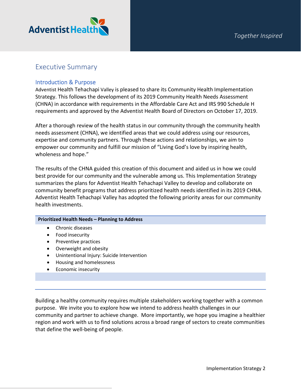

## Executive Summary

## Introduction & Purpose

Adventist Health Tehachapi Valley is pleased to share its Community Health Implementation Strategy. This follows the development of its 2019 Community Health Needs Assessment (CHNA) in accordance with requirements in the Affordable Care Act and IRS 990 Schedule H requirements and approved by the Adventist Health Board of Directors on October 17, 2019.

After a thorough review of the health status in our community through the community health needs assessment (CHNA), we identified areas that we could address using our resources, expertise and community partners. Through these actions and relationships, we aim to empower our community and fulfill our mission of "Living God's love by inspiring health, wholeness and hope."

The results of the CHNA guided this creation of this document and aided us in how we could best provide for our community and the vulnerable among us. This Implementation Strategy summarizes the plans for Adventist Health Tehachapi Valley to develop and collaborate on community benefit programs that address prioritized health needs identified in its 2019 CHNA. Adventist Health Tehachapi Valley has adopted the following priority areas for our community health investments.

#### **Prioritized Health Needs – Planning to Address**

- Chronic diseases
- Food insecurity
- Preventive practices
- Overweight and obesity
- Unintentional Injury: Suicide Intervention
- Housing and homelessness
- Economic insecurity

Building a healthy community requires multiple stakeholders working together with a common purpose. We invite you to explore how we intend to address health challenges in our community and partner to achieve change. More importantly, we hope you imagine a healthier region and work with us to find solutions across a broad range of sectors to create communities that define the well-being of people.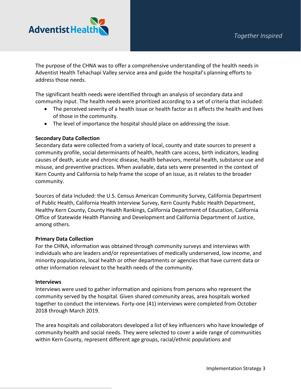

The purpose of the CHNA was to offer a comprehensive understanding of the health needs in Adventist Health Tehachapi Valley service area and guide the hospital's planning efforts to address those needs.

The significant health needs were identified through an analysis of secondary data and community input. The health needs were prioritized according to a set of criteria that included:

- The perceived severity of a health issue or health factor as it affects the health and lives of those in the community.
- The level of importance the hospital should place on addressing the issue.

## **Secondary Data Collection**

Secondary data were collected from a variety of local, county and state sources to present a community profile, social determinants of health, health care access, birth indicators, leading causes of death, acute and chronic disease, health behaviors, mental health, substance use and misuse, and preventive practices. When available, data sets were presented in the context of Kern County and California to help frame the scope of an issue, as it relates to the broader community.

Sources of data included: the U.S. Census American Community Survey, California Department of Public Health, California Health Interview Survey, Kern County Public Health Department, Healthy Kern County, County Health Rankings, California Department of Education, California Office of Statewide Health Planning and Development and California Department of Justice, among others.

## **Primary Data Collection**

For the CHNA, information was obtained through community surveys and interviews with individuals who are leaders and/or representatives of medically underserved, low income, and minority populations, local health or other departments or agencies that have current data or other information relevant to the health needs of the community.

## **Interviews**

Interviews were used to gather information and opinions from persons who represent the community served by the hospital. Given shared community areas, area hospitals worked together to conduct the interviews. Forty-one (41) interviews were completed from October 2018 through March 2019.

The area hospitals and collaborators developed a list of key influencers who have knowledge of community health and social needs. They were selected to cover a wide range of communities within Kern County, represent different age groups, racial/ethnic populations and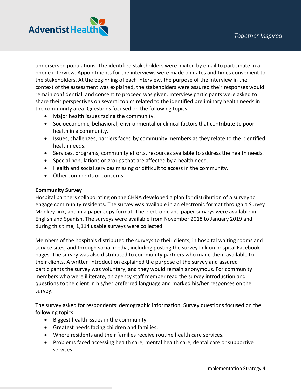

underserved populations. The identified stakeholders were invited by email to participate in a phone interview. Appointments for the interviews were made on dates and times convenient to the stakeholders. At the beginning of each interview, the purpose of the interview in the context of the assessment was explained, the stakeholders were assured their responses would remain confidential, and consent to proceed was given. Interview participants were asked to share their perspectives on several topics related to the identified preliminary health needs in the community area. Questions focused on the following topics:

- Major health issues facing the community.
- Socioeconomic, behavioral, environmental or clinical factors that contribute to poor health in a community.
- Issues, challenges, barriers faced by community members as they relate to the identified health needs.
- Services, programs, community efforts, resources available to address the health needs.
- Special populations or groups that are affected by a health need.
- Health and social services missing or difficult to access in the community.
- Other comments or concerns.

### **Community Survey**

Hospital partners collaborating on the CHNA developed a plan for distribution of a survey to engage community residents. The survey was available in an electronic format through a Survey Monkey link, and in a paper copy format. The electronic and paper surveys were available in English and Spanish. The surveys were available from November 2018 to January 2019 and during this time, 1,114 usable surveys were collected.

Members of the hospitals distributed the surveys to their clients, in hospital waiting rooms and service sites, and through social media, including posting the survey link on hospital Facebook pages. The survey was also distributed to community partners who made them available to their clients. A written introduction explained the purpose of the survey and assured participants the survey was voluntary, and they would remain anonymous. For community members who were illiterate, an agency staff member read the survey introduction and questions to the client in his/her preferred language and marked his/her responses on the survey.

The survey asked for respondents' demographic information. Survey questions focused on the following topics:

- Biggest health issues in the community.
- Greatest needs facing children and families.
- Where residents and their families receive routine health care services.
- Problems faced accessing health care, mental health care, dental care or supportive services.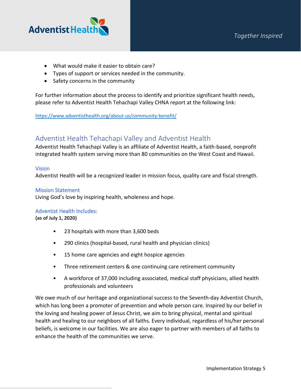

- What would make it easier to obtain care?
- Types of support or services needed in the community.
- Safety concerns in the community

For further information about the process to identify and prioritize significant health needs, please refer to Adventist Health Tehachapi Valley CHNA report at the following link:

<https://www.adventisthealth.org/about-us/community-benefit/>

## Adventist Health Tehachapi Valley and Adventist Health

Adventist Health Tehachapi Valley is an affiliate of Adventist Health, a faith-based, nonprofit integrated health system serving more than 80 communities on the West Coast and Hawaii.

## **Vision**

Adventist Health will be a recognized leader in mission focus, quality care and fiscal strength.

## Mission Statement

Living God's love by inspiring health, wholeness and hope.

## Adventist Health Includes:

**(as of July 1, 2020)**

- 23 hospitals with more than 3,600 beds
- 290 clinics (hospital-based, rural health and physician clinics)
- 15 home care agencies and eight hospice agencies
- Three retirement centers & one continuing care retirement community
- A workforce of 37,000 including associated, medical staff physicians, allied health professionals and volunteers

We owe much of our heritage and organizational success to the Seventh-day Adventist Church, which has long been a promoter of prevention and whole person care. Inspired by our belief in the loving and healing power of Jesus Christ, we aim to bring physical, mental and spiritual health and healing to our neighbors of all faiths. Every individual, regardless of his/her personal beliefs, is welcome in our facilities. We are also eager to partner with members of all faiths to enhance the health of the communities we serve.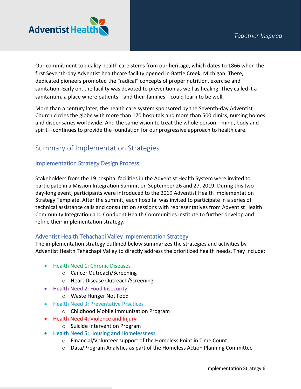

Our commitment to quality health care stems from our heritage, which dates to 1866 when the first Seventh-day Adventist healthcare facility opened in Battle Creek, Michigan. There, dedicated pioneers promoted the "radical" concepts of proper nutrition, exercise and sanitation. Early on, the facility was devoted to prevention as well as healing. They called it a sanitarium, a place where patients—and their families—could learn to be well.

More than a century later, the health care system sponsored by the Seventh-day Adventist Church circles the globe with more than 170 hospitals and more than 500 clinics, nursing homes and dispensaries worldwide. And the same vision to treat the whole person—mind, body and spirit—continues to provide the foundation for our progressive approach to health care.

## Summary of Implementation Strategies

## Implementation Strategy Design Process

Stakeholders from the 19 hospital facilities in the Adventist Health System were invited to participate in a Mission Integration Summit on September 26 and 27, 2019. During this two day-long event, participants were introduced to the 2019 Adventist Health Implementation Strategy Template. After the summit, each hospital was invited to participate in a series of technical assistance calls and consultation sessions with representatives from Adventist Health Community Integration and Conduent Health Communities Institute to further develop and refine their implementation strategy.

## Adventist Health Tehachapi Valley Implementation Strategy

The implementation strategy outlined below summarizes the strategies and activities by Adventist Health Tehachapi Valley to directly address the prioritized health needs. They include:

- Health Need 1: Chronic Diseases
	- o Cancer Outreach/Screening
	- o Heart Disease Outreach/Screening
- Health Need 2: Food Insecurity
	- o Waste Hunger Not Food
- Health Need 3: Preventative Practices
	- o Childhood Mobile Immunization Program
- Health Need 4: Violence and Injury
	- o Suicide Intervention Program
- Health Need 5: Housing and Homelessness
	- o Financial/Volunteer support of the Homeless Point in Time Count
	- o Data/Program Analytics as part of the Homeless Action Planning Committee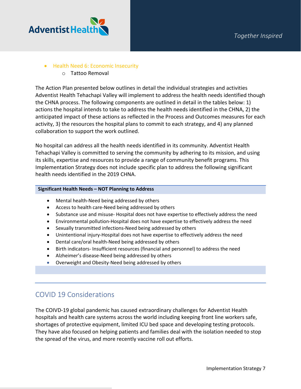

## • Health Need 6: Economic Insecurity

o Tattoo Removal

The Action Plan presented below outlines in detail the individual strategies and activities Adventist Health Tehachapi Valley will implement to address the health needs identified though the CHNA process. The following components are outlined in detail in the tables below: 1) actions the hospital intends to take to address the health needs identified in the CHNA, 2) the anticipated impact of these actions as reflected in the Process and Outcomes measures for each activity, 3) the resources the hospital plans to commit to each strategy, and 4) any planned collaboration to support the work outlined.

No hospital can address all the health needs identified in its community. Adventist Health Tehachapi Valley is committed to serving the community by adhering to its mission, and using its skills, expertise and resources to provide a range of community benefit programs. This Implementation Strategy does not include specific plan to address the following significant health needs identified in the 2019 CHNA.

### **Significant Health Needs – NOT Planning to Address**

- Mental health-Need being addressed by others
- Access to health care-Need being addressed by others
- Substance use and misuse- Hospital does not have expertise to effectively address the need
- Environmental pollution-Hospital does not have expertise to effectively address the need
- Sexually transmitted infections-Need being addressed by others
- Unintentional injury-Hospital does not have expertise to effectively address the need
- Dental care/oral health-Need being addressed by others
- Birth indicators- Insufficient resources (financial and personnel) to address the need
- Alzheimer's disease-Need being addressed by others
- Overweight and Obesity-Need being addressed by others

## COVID 19 Considerations

The COIVD-19 global pandemic has caused extraordinary challenges for Adventist Health hospitals and health care systems across the world including keeping front line workers safe, shortages of protective equipment, limited ICU bed space and developing testing protocols. They have also focused on helping patients and families deal with the isolation needed to stop the spread of the virus, and more recently vaccine roll out efforts.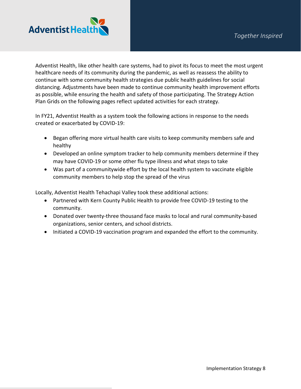

Adventist Health, like other health care systems, had to pivot its focus to meet the most urgent healthcare needs of its community during the pandemic, as well as reassess the ability to continue with some community health strategies due public health guidelines for social distancing. Adjustments have been made to continue community health improvement efforts as possible, while ensuring the health and safety of those participating. The Strategy Action Plan Grids on the following pages reflect updated activities for each strategy.

In FY21, Adventist Health as a system took the following actions in response to the needs created or exacerbated by COVID-19:

- Began offering more virtual health care visits to keep community members safe and healthy
- Developed an online symptom tracker to help community members determine if they may have COVID-19 or some other flu type illness and what steps to take
- Was part of a communitywide effort by the local health system to vaccinate eligible community members to help stop the spread of the virus

Locally, Adventist Health Tehachapi Valley took these additional actions:

- Partnered with Kern County Public Health to provide free COVID-19 testing to the community.
- Donated over twenty-three thousand face masks to local and rural community-based organizations, senior centers, and school districts.
- Initiated a COVID-19 vaccination program and expanded the effort to the community.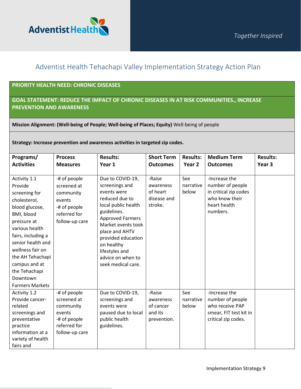

## Adventist Health Tehachapi Valley Implementation Strategy Action Plan

## **PRIORITY HEALTH NEED: CHRONIC DISEASES**

## **GOAL STATEMENT: REDUCE THE IMPACT OF CHRONIC DISEASES IN AT RISK COMMUNITIES., INCREASE PREVENTION AND AWARENESS**

**Mission Alignment: (Well-being of People; Well-being of Places; Equity)** Well-being of people

**Strategy: Increase prevention and awareness activities in targeted zip codes.** 

| Programs/<br><b>Activities</b>                                                                                                                                                                                                                                                       | <b>Process</b><br><b>Measures</b>                                                                    | <b>Results:</b><br>Year 1                                                                                                                                                                                                                                                     | <b>Short Term</b><br><b>Outcomes</b>                       | <b>Results:</b><br>Year 2 | <b>Medium Term</b><br><b>Outcomes</b>                                                                    | <b>Results:</b><br>Year <sub>3</sub> |
|--------------------------------------------------------------------------------------------------------------------------------------------------------------------------------------------------------------------------------------------------------------------------------------|------------------------------------------------------------------------------------------------------|-------------------------------------------------------------------------------------------------------------------------------------------------------------------------------------------------------------------------------------------------------------------------------|------------------------------------------------------------|---------------------------|----------------------------------------------------------------------------------------------------------|--------------------------------------|
|                                                                                                                                                                                                                                                                                      |                                                                                                      |                                                                                                                                                                                                                                                                               |                                                            |                           |                                                                                                          |                                      |
| Activity 1.1<br>Provide<br>screening for<br>cholesterol,<br>blood glucose,<br>BMI, blood<br>pressure at<br>various health<br>fairs, including a<br>senior health and<br>wellness fair on<br>the AH Tehachapi<br>campus and at<br>the Tehachapi<br>Downtown<br><b>Farmers Markets</b> | -# of people<br>screened at<br>community<br>events<br>-# of people<br>referred for<br>follow-up care | Due to COVID-19,<br>screenings and<br>events were<br>reduced due to<br>local public health<br>guidelines.<br><b>Approved Farmers</b><br>Market events took<br>place and AHTV<br>provided education<br>on healthy<br>lifestyles and<br>advice on when to<br>seek medical care. | -Raise<br>awareness<br>of heart<br>disease and<br>stroke.  | See<br>narrative<br>below | -Increase the<br>number of people<br>in critical zip codes<br>who know their<br>heart health<br>numbers. |                                      |
| Activity 1.2<br>Provide cancer-<br>related<br>screenings and<br>preventative<br>practice<br>information at a<br>variety of health<br>fairs and                                                                                                                                       | -# of people<br>screened at<br>community<br>events<br>-# of people<br>referred for<br>follow-up care | Due to COVID-19,<br>screenings and<br>events were<br>paused due to local<br>public health<br>guidelines.                                                                                                                                                                      | -Raise<br>awareness<br>of cancer<br>and its<br>prevention. | See<br>narrative<br>below | -Increase the<br>number of people<br>who receive PAP<br>smear, FIT test kit in<br>critical zip codes.    |                                      |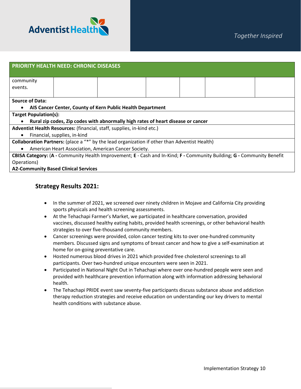

| <b>PRIORITY HEALTH NEED: CHRONIC DISEASES</b>                                                                          |                              |  |                                                            |  |                                                                                  |  |  |
|------------------------------------------------------------------------------------------------------------------------|------------------------------|--|------------------------------------------------------------|--|----------------------------------------------------------------------------------|--|--|
|                                                                                                                        |                              |  |                                                            |  |                                                                                  |  |  |
|                                                                                                                        |                              |  |                                                            |  |                                                                                  |  |  |
|                                                                                                                        |                              |  |                                                            |  |                                                                                  |  |  |
|                                                                                                                        |                              |  |                                                            |  |                                                                                  |  |  |
|                                                                                                                        |                              |  |                                                            |  |                                                                                  |  |  |
|                                                                                                                        |                              |  |                                                            |  |                                                                                  |  |  |
|                                                                                                                        |                              |  |                                                            |  |                                                                                  |  |  |
|                                                                                                                        |                              |  |                                                            |  |                                                                                  |  |  |
| Adventist Health Resources: (financial, staff, supplies, in-kind etc.)                                                 |                              |  |                                                            |  |                                                                                  |  |  |
| Financial, supplies, in-kind<br>$\bullet$                                                                              |                              |  |                                                            |  |                                                                                  |  |  |
| Collaboration Partners: (place a "*" by the lead organization if other than Adventist Health)                          |                              |  |                                                            |  |                                                                                  |  |  |
| American Heart Association, American Cancer Society.<br>$\bullet$                                                      |                              |  |                                                            |  |                                                                                  |  |  |
| CBISA Category: (A - Community Health Improvement; E - Cash and In-Kind; F - Community Building; G - Community Benefit |                              |  |                                                            |  |                                                                                  |  |  |
|                                                                                                                        |                              |  |                                                            |  |                                                                                  |  |  |
|                                                                                                                        | <b>Target Population(s):</b> |  | AIS Cancer Center, County of Kern Public Health Department |  | Rural zip codes, Zip codes with abnormally high rates of heart disease or cancer |  |  |

## **A2-Community Based Clinical Services**

## **Strategy Results 2021:**

- In the summer of 2021, we screened over ninety children in Mojave and California City providing sports physicals and health screening assessments.
- At the Tehachapi Farmer's Market, we participated in healthcare conversation, provided vaccines, discussed healthy eating habits, provided health screenings, or other behavioral health strategies to over five-thousand community members.
- Cancer screenings were provided, colon cancer testing kits to over one-hundred community members. Discussed signs and symptoms of breast cancer and how to give a self-examination at home for on-going preventative care.
- Hosted numerous blood drives in 2021 which provided free cholesterol screenings to all participants. Over two-hundred unique encounters were seen in 2021.
- Participated in National Night Out in Tehachapi where over one-hundred people were seen and provided with healthcare prevention information along with information addressing behavioral health.
- The Tehachapi PRIDE event saw seventy-five participants discuss substance abuse and addiction therapy reduction strategies and receive education on understanding our key drivers to mental health conditions with substance abuse.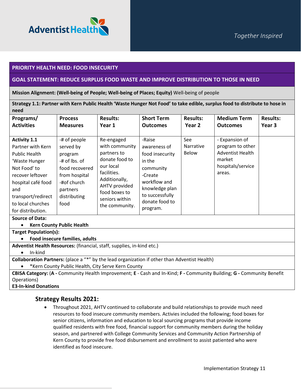

#### **PRIORITY HEALTH NEED: FOOD INSECURITY**

#### **GOAL STATEMENT: REDUCE SURPLUS FOOD WASTE AND IMPROVE DISTRIBUTION TO THOSE IN NEED**

**Mission Alignment: (Well-being of People; Well-being of Places; Equity)** Well-being of people

**Strategy 1.1: Partner with Kern Public Health 'Waste Hunger Not Food' to take edible, surplus food to distribute to hose in need**

| Programs/                                                                                                                                                                                     | <b>Process</b>                                                                                                                              | <b>Results:</b>                                                                                                                                                                  | <b>Short Term</b>                                                                                                                                  | <b>Results:</b>                  | <b>Medium Term</b>                                                                                     | <b>Results:</b> |
|-----------------------------------------------------------------------------------------------------------------------------------------------------------------------------------------------|---------------------------------------------------------------------------------------------------------------------------------------------|----------------------------------------------------------------------------------------------------------------------------------------------------------------------------------|----------------------------------------------------------------------------------------------------------------------------------------------------|----------------------------------|--------------------------------------------------------------------------------------------------------|-----------------|
| <b>Activities</b>                                                                                                                                                                             | <b>Measures</b>                                                                                                                             | Year 1                                                                                                                                                                           | <b>Outcomes</b>                                                                                                                                    | Year 2                           | <b>Outcomes</b>                                                                                        | Year 3          |
| <b>Activity 1.1</b><br>Partner with Kern<br><b>Public Health</b><br>'Waste Hunger<br>Not Food' to<br>recover leftover<br>hospital café food<br>and<br>transport/redirect<br>to local churches | -# of people<br>served by<br>program<br>-# of lbs. of<br>food recovered<br>from hospital<br>-#of church<br>partners<br>distributing<br>food | Re-engaged<br>with community<br>partners to<br>donate food to<br>our local<br>facilities.<br>Additionally,<br>AHTV provided<br>food boxes to<br>seniors within<br>the community. | -Raise<br>awareness of<br>food insecurity<br>in the<br>community<br>-Create<br>workflow and<br>knowledge plan<br>to successfully<br>donate food to | See<br>Narrative<br><b>Below</b> | - Expansion of<br>program to other<br><b>Adventist Health</b><br>market<br>hospitals/service<br>areas. |                 |
| for distribution.                                                                                                                                                                             |                                                                                                                                             |                                                                                                                                                                                  | program.                                                                                                                                           |                                  |                                                                                                        |                 |

**Source of Data:** 

#### • **Kern County Public Health**

**Target Population(s):**

• **Food insecure families, adults**

**Adventist Health Resources:** (financial, staff, supplies, in-kind etc.)

• In-kind

**Collaboration Partners:** (place a "\*" by the lead organization if other than Adventist Health)

• \*Kern County Public Health, City Serve Kern County

**CBISA Category:** (**A -** Community Health Improvement; **E** - Cash and In-Kind; **F -** Community Building; **G -** Community Benefit Operations)

**E3-In-kind Donations**

## **Strategy Results 2021:**

• Throughout 2021, AHTV continued to collaborate and build relationships to provide much need resources to food insecure community members. Activies included the following; food boxes for senior citizens, information and education to local sourcing programs that provide income qualified residents with free food, financial support for community members during the holiday season, and partnered with College Community Services and Community Action Partnership of Kern County to provide free food disbursement and enrollment to assist patiented who were identified as food insecure.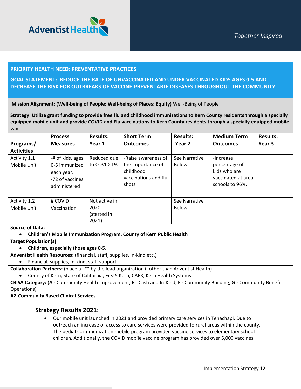

### **PRIORITY HEALTH NEED: PREVENTATIVE PRACTICES**

## **GOAL STATEMENT: REDUCE THE RATE OF UNVACCINATED AND UNDER VACCINATED KIDS AGES 0-5 AND DECREASE THE RISK FOR OUTBREAKS OF VACCINE-PREVENTABLE DISEASES THROUGHOUT THE COMMUNITY**

**Mission Alignment: (Well-being of People; Well-being of Places; Equity)** Well-Being of People

**Strategy: Utilize grant funding to provide free flu and childhood immunizations to Kern County residents through a specially equipped mobile unit and provide COVID and Flu vaccinations to Kern County residents through a specially equipped mobile van**

|                                | <b>Process</b>                                                                     | <b>Results:</b>                               | <b>Short Term</b>                                                                       | <b>Results:</b>               | <b>Medium Term</b>                                                                  | <b>Results:</b> |
|--------------------------------|------------------------------------------------------------------------------------|-----------------------------------------------|-----------------------------------------------------------------------------------------|-------------------------------|-------------------------------------------------------------------------------------|-----------------|
| Programs/<br><b>Activities</b> | <b>Measures</b>                                                                    | Year 1                                        | <b>Outcomes</b>                                                                         | Year 2                        | <b>Outcomes</b>                                                                     | Year 3          |
| Activity 1.1<br>Mobile Unit    | -# of kids, ages<br>0-5 immunized<br>each year.<br>-72 of vaccines<br>administered | Reduced due<br>to COVID-19.                   | -Raise awareness of<br>the importance of<br>childhood<br>vaccinations and flu<br>shots. | See Narrative<br><b>Below</b> | -Increase<br>percentage of<br>kids who are<br>vaccinated at area<br>schools to 96%. |                 |
| Activity 1.2<br>Mobile Unit    | # COVID<br>Vaccination                                                             | Not active in<br>2020<br>(started in<br>2021) |                                                                                         | See Narrative<br>Below        |                                                                                     |                 |
| <b>Source of Data:</b>         |                                                                                    |                                               |                                                                                         |                               |                                                                                     |                 |

• **Children's Mobile Immunization Program, County of Kern Public Health**

**Target Population(s):**

• **Children, especially those ages 0-5.** 

**Adventist Health Resources:** (financial, staff, supplies, in-kind etc.)

• Financial, supplies, in-kind, staff support

**Collaboration Partners:** (place a "\*" by the lead organization if other than Adventist Health)

• County of Kern, State of California, First5 Kern, CAPK, Kern Health Systems

**CBISA Category:** (**A -** Community Health Improvement; **E** - Cash and In-Kind; **F -** Community Building; **G -** Community Benefit Operations)

**A2-Community Based Clinical Services**

## **Strategy Results 2021:**

• Our mobile unit launched in 2021 and provided primary care services in Tehachapi. Due to outreach an increase of access to care services were provided to rural areas within the county. The pediatric immunization mobile program provided vaccine services to elementary school children. Additionally, the COVID mobile vaccine program has provided over 5,000 vaccines.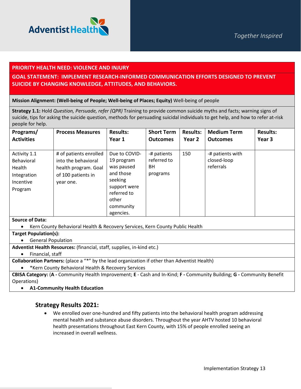



#### **PRIORITY HEALTH NEED: VIOLENCE AND INJURY**

## **GOAL STATEMENT: IMPLEMENT RESEARCH-INFORMED COMMUNICATION EFFORTS DESIGNED TO PREVENT SUICIDE BY CHANGING KNOWLEDGE, ATTITUDES, AND BEHAVIORS.**

#### **Mission Alignment: (Well-being of People; Well-being of Places; Equity)** Well-being of people

**Strategy 1.1:** Hold *Question, Persuade, refer (QPR)* Training to provide common suicide myths and facts; warning signs of suicide, tips for asking the suicide question, methods for persuading suicidal individuals to get help, and how to refer at-risk people for help.

| Programs/                                                                   | <b>Process Measures</b>                                                                                  | <b>Results:</b>                                                                                                                     | <b>Short Term</b>                                   | <b>Results:</b>   | <b>Medium Term</b>                           | <b>Results:</b>   |
|-----------------------------------------------------------------------------|----------------------------------------------------------------------------------------------------------|-------------------------------------------------------------------------------------------------------------------------------------|-----------------------------------------------------|-------------------|----------------------------------------------|-------------------|
| <b>Activities</b>                                                           |                                                                                                          | Year 1                                                                                                                              | <b>Outcomes</b>                                     | Year <sub>2</sub> | <b>Outcomes</b>                              | Year <sub>3</sub> |
| Activity 1.1<br>Behavioral<br>Health<br>Integration<br>Incentive<br>Program | # of patients enrolled<br>into the behavioral<br>health program. Goal<br>of 100 patients in<br>year one. | Due to COVID-<br>19 program<br>was paused<br>and those<br>seeking<br>support were<br>referred to<br>other<br>community<br>agencies. | -# patients<br>referred to<br><b>BH</b><br>programs | 150               | -# patients with<br>closed-loop<br>referrals |                   |

#### **Source of Data:**

• Kern County Behavioral Health & Recovery Services, Kern County Public Health

**Target Population(s):**

• General Population

**Adventist Health Resources:** (financial, staff, supplies, in-kind etc.)

• Financial, staff

**Collaboration Partners:** (place a "\*" by the lead organization if other than Adventist Health)

• \*Kern County Behavioral Health & Recovery Services

**CBISA Category:** (**A -** Community Health Improvement; **E** - Cash and In-Kind; **F -** Community Building; **G -** Community Benefit Operations)

• **A1-Community Health Education** 

## **Strategy Results 2021:**

• We enrolled over one-hundred and fifty patients into the behavioral health program addressing mental health and substance abuse disorders. Throughout the year AHTV hosted 10 behavioral health presentations throughout East Kern County, with 15% of people enrolled seeing an increased in overall wellness.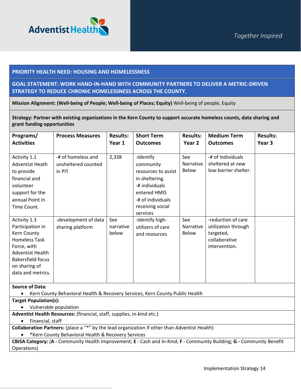

### **PRIORITY HEALTH NEED: HOUSING AND HOMELESSNESS**

## **GOAL STATEMENT: WORK HAND-IN-HAND WITH COMMUNITY PARTNERS TO DELIVER A METRIC-DRIVEN STRATEGY TO REDUCE CHRONIC HOMELESSNESS ACROSS THE COUNTY.**

**Mission Alignment: (Well-being of People; Well-being of Places; Equity)** Well-being of people, Equity

**Strategy: Partner with existing organizations in the Kern County to support accurate homeless counts, data sharing and grant funding opportunities** 

| Programs/<br><b>Activities</b>                                                                                                                                                      | <b>Process Measures</b>                             | <b>Results:</b><br>Year 1 | <b>Short Term</b><br><b>Outcomes</b>                                                                                                                   | <b>Results:</b><br>Year 2               | <b>Medium Term</b><br><b>Outcomes</b>                                                    | <b>Results:</b><br>Year <sub>3</sub> |
|-------------------------------------------------------------------------------------------------------------------------------------------------------------------------------------|-----------------------------------------------------|---------------------------|--------------------------------------------------------------------------------------------------------------------------------------------------------|-----------------------------------------|------------------------------------------------------------------------------------------|--------------------------------------|
| Activity 1.1<br><b>Adventist Heath</b><br>to provide<br>financial and<br>volunteer<br>support for the<br>annual Point in<br>Time Count.                                             | -# of homeless and<br>unsheltered counted<br>in PIT | 2,338                     | -Identify<br>community<br>resources to assist<br>in sheltering.<br>-# individuals<br>entered HMIS<br>-# of individuals<br>receiving social<br>services | See<br><b>Narrative</b><br>Below        | -# of Individuals<br>sheltered at new<br>low-barrier shelter.                            |                                      |
| Activity 1.3<br>Participation in<br>Kern County<br><b>Homeless Task</b><br>Force, with<br><b>Adventist Health</b><br><b>Bakersfield focus</b><br>on sharing of<br>data and metrics. | -development of data<br>sharing platform            | See<br>narrative<br>below | -Identify high-<br>utilizers of care<br>and resources                                                                                                  | See<br><b>Narrative</b><br><b>Below</b> | -reduction of care<br>utilization through<br>targeted,<br>collaborative<br>intervention. |                                      |

**Source of Data:** 

• Kern County Behavioral Health & Recovery Services, Kern County Public Health

**Target Population(s):**

• Vulnerable population

**Adventist Health Resources:** (financial, staff, supplies, in-kind etc.)

• Financial, staff

**Collaboration Partners:** (place a "\*" by the lead organization if other than Adventist Health)

• \*Kern County Behavioral Health & Recovery Services

**CBISA Category:** (**A -** Community Health Improvement; **E** - Cash and In-Kind; **F -** Community Building; **G -** Community Benefit Operations)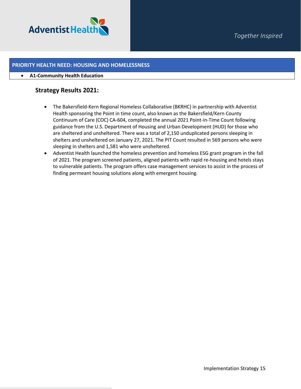

## **PRIORITY HEALTH NEED: HOUSING AND HOMELESSNESS**

#### • **A1-Community Health Education**

## **Strategy Results 2021:**

- The Bakersfield-Kern Regional Homeless Collaborative (BKRHC) in partnership with Adventist Health sponsoring the Point in time count, also known as the Bakersfield/Kern County Continuum of Care (COC) CA-604, completed the annual 2021 Point-in-Time Count following guidance from the U.S. Department of Housing and Urban Development (HUD) for those who are sheltered and unsheltered. There was a total of 2,150 unduplicated persons sleeping in shelters and unsheltered on January 27, 2021. The PIT Count resulted in 569 persons who were sleeping in shelters and 1,581 who were unsheltered.
- Adventist Health launched the homeless prevention and homeless ESG grant program in the fall of 2021. The program screened patients, aligned patients with rapid re-housing and hotels stays to vulnerable patients. The program offers case management services to assist in the process of finding permeant housing solutions along with emergent housing.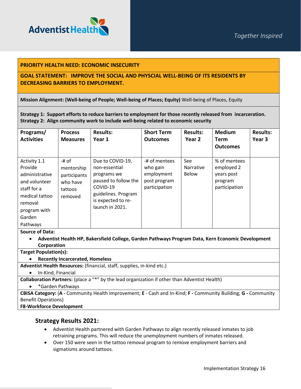

### **PRIORITY HEALTH NEED: ECONOMIC INSECURITY**

## **GOAL STATEMENT: IMPROVE THE SOCIAL AND PHYSCIAL WELL-BEING OF ITS RESIDENTS BY DECREASING BARRIERS TO EMPLOYMENT.**

**Mission Alignment: (Well-being of People; Well-being of Places; Equity)** Well-being of Places, Equity

**Strategy 1: Support efforts to reduce barriers to employment for those recently released from incarceration. Strategy 2: Align community work to include well-being related to economic security**

| Programs/<br><b>Activities</b>                                                                                                               | <b>Process</b><br><b>Measures</b>                                     | <b>Results:</b><br>Year 1                                                                                                                            | <b>Short Term</b><br><b>Outcomes</b>                                     | <b>Results:</b><br>Year 2        | <b>Medium</b><br>Term<br><b>Outcomes</b>                             | <b>Results:</b><br>Year 3 |
|----------------------------------------------------------------------------------------------------------------------------------------------|-----------------------------------------------------------------------|------------------------------------------------------------------------------------------------------------------------------------------------------|--------------------------------------------------------------------------|----------------------------------|----------------------------------------------------------------------|---------------------------|
| Activity 1.1<br>Provide<br>administrative<br>and volunteer<br>staff for a<br>medical tattoo<br>removal<br>program with<br>Garden<br>Pathways | -# of<br>mentorship<br>participants<br>who have<br>tattoos<br>removed | Due to COVID-19,<br>non-essential<br>programs we<br>paused to follow the<br>COVID-19<br>guidelines. Program<br>is expected to re-<br>launch in 2021. | -# of mentees<br>who gain<br>employment<br>post program<br>participation | See<br>Narrative<br><b>Below</b> | % of mentees<br>employed 2<br>years post<br>program<br>participation |                           |

#### **Source of Data:**

• **Adventist Health HP, Bakersfield College, Garden Pathways Program Data, Kern Economic Development Corporation**

**Target Population(s):**

#### • **Recently Incarcerated, Homeless**

**Adventist Health Resources:** (financial, staff, supplies, in-kind etc.)

• In-Kind, Financial

**Collaboration Partners:** (place a "\*" by the lead organization if other than Adventist Health)

• \*Garden Pathways

**CBISA Category:** (**A -** Community Health Improvement; **E** - Cash and In-Kind; **F -** Community Building; **G -** Community Benefit Operations)

#### **F8-Workforce Development**

## **Strategy Results 2021:**

- Adventist Health partnered with Garden Pathways to align recently released inmates to job retraining programs. This will reduce the unemployment numbers of inmates released.
- Over 150 were seen in the tattoo removal program to remove employment barriers and sigmatisms around tattoos.